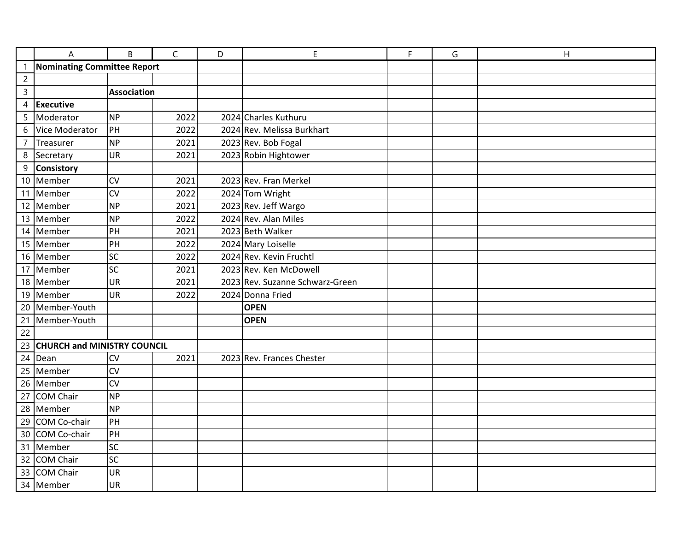|                 | A                                  | B                  |  | C    | D | E                               | F | G | H |  |
|-----------------|------------------------------------|--------------------|--|------|---|---------------------------------|---|---|---|--|
| $\overline{1}$  | <b>Nominating Committee Report</b> |                    |  |      |   |                                 |   |   |   |  |
| $\overline{c}$  |                                    |                    |  |      |   |                                 |   |   |   |  |
| $\overline{3}$  |                                    | <b>Association</b> |  |      |   |                                 |   |   |   |  |
|                 | 4 Executive                        |                    |  |      |   |                                 |   |   |   |  |
| 5               | Moderator                          | <b>NP</b>          |  | 2022 |   | 2024 Charles Kuthuru            |   |   |   |  |
| 6               | Vice Moderator                     | PH                 |  | 2022 |   | 2024 Rev. Melissa Burkhart      |   |   |   |  |
| $\overline{7}$  | Treasurer                          | <b>NP</b>          |  | 2021 |   | 2023 Rev. Bob Fogal             |   |   |   |  |
| $\, 8$          | Secretary                          | UR                 |  | 2021 |   | 2023 Robin Hightower            |   |   |   |  |
| 9               | Consistory                         |                    |  |      |   |                                 |   |   |   |  |
|                 | 10 Member                          | CV                 |  | 2021 |   | 2023 Rev. Fran Merkel           |   |   |   |  |
|                 | 11 Member                          | CV                 |  | 2022 |   | 2024 Tom Wright                 |   |   |   |  |
|                 | 12 Member                          | <b>NP</b>          |  | 2021 |   | 2023 Rev. Jeff Wargo            |   |   |   |  |
|                 | 13 Member                          | <b>NP</b>          |  | 2022 |   | 2024 Rev. Alan Miles            |   |   |   |  |
|                 | 14 Member                          | PH                 |  | 2021 |   | 2023 Beth Walker                |   |   |   |  |
|                 | 15 Member                          | PH                 |  | 2022 |   | 2024 Mary Loiselle              |   |   |   |  |
|                 | 16 Member                          | SC                 |  | 2022 |   | 2024 Rev. Kevin Fruchtl         |   |   |   |  |
|                 | 17 Member                          | SC                 |  | 2021 |   | 2023 Rev. Ken McDowell          |   |   |   |  |
|                 | 18 Member                          | <b>UR</b>          |  | 2021 |   | 2023 Rev. Suzanne Schwarz-Green |   |   |   |  |
|                 | 19 Member                          | <b>UR</b>          |  | 2022 |   | 2024 Donna Fried                |   |   |   |  |
|                 | 20 Member-Youth                    |                    |  |      |   | <b>OPEN</b>                     |   |   |   |  |
| 21              | Member-Youth                       |                    |  |      |   | <b>OPEN</b>                     |   |   |   |  |
| $\overline{22}$ |                                    |                    |  |      |   |                                 |   |   |   |  |
| 23              | <b>CHURCH and MINISTRY COUNCIL</b> |                    |  |      |   |                                 |   |   |   |  |
| 24              | Dean                               | CV                 |  | 2021 |   | 2023 Rev. Frances Chester       |   |   |   |  |
|                 | 25 Member                          | CV                 |  |      |   |                                 |   |   |   |  |
|                 | 26 Member                          | CV                 |  |      |   |                                 |   |   |   |  |
| 27              | <b>COM Chair</b>                   | <b>NP</b>          |  |      |   |                                 |   |   |   |  |
|                 | 28 Member                          | <b>NP</b>          |  |      |   |                                 |   |   |   |  |
| 29              | COM Co-chair                       | PH                 |  |      |   |                                 |   |   |   |  |
| 30              | COM Co-chair                       | PH                 |  |      |   |                                 |   |   |   |  |
| 31              | Member                             | SC                 |  |      |   |                                 |   |   |   |  |
| 32              | COM Chair                          | SC                 |  |      |   |                                 |   |   |   |  |
|                 | 33 COM Chair                       | UR                 |  |      |   |                                 |   |   |   |  |
|                 | 34 Member                          | <b>UR</b>          |  |      |   |                                 |   |   |   |  |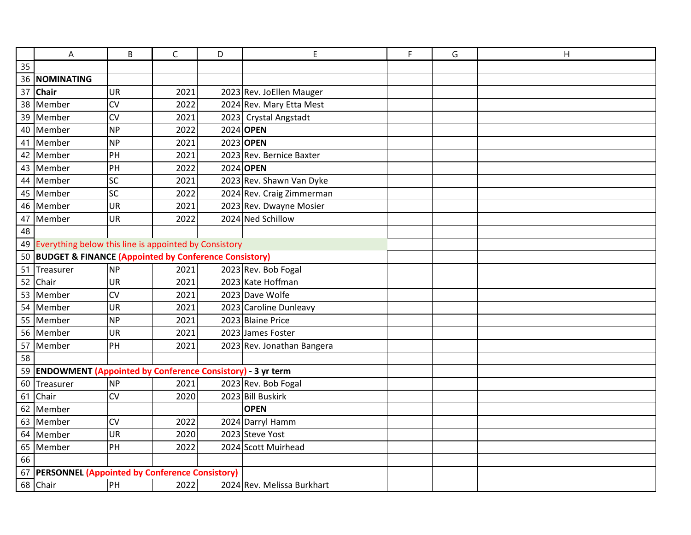|                                                   | A                                                             | B                                                        | C    | D | E                          | F | G | H |  |  |
|---------------------------------------------------|---------------------------------------------------------------|----------------------------------------------------------|------|---|----------------------------|---|---|---|--|--|
| 35                                                |                                                               |                                                          |      |   |                            |   |   |   |  |  |
| 36                                                | <b>NOMINATING</b>                                             |                                                          |      |   |                            |   |   |   |  |  |
|                                                   | 37 Chair                                                      | <b>UR</b>                                                | 2021 |   | 2023 Rev. JoEllen Mauger   |   |   |   |  |  |
|                                                   | 38 Member                                                     | CV                                                       | 2022 |   | 2024 Rev. Mary Etta Mest   |   |   |   |  |  |
|                                                   | 39 Member                                                     | CV                                                       | 2021 |   | 2023 Crystal Angstadt      |   |   |   |  |  |
|                                                   | 40 Member                                                     | <b>NP</b>                                                | 2022 |   | 2024 OPEN                  |   |   |   |  |  |
| 41                                                | Member                                                        | <b>NP</b>                                                | 2021 |   | 2023 OPEN                  |   |   |   |  |  |
|                                                   | 42 Member                                                     | PH                                                       | 2021 |   | 2023 Rev. Bernice Baxter   |   |   |   |  |  |
|                                                   | 43 Member                                                     | PH                                                       | 2022 |   | 2024 OPEN                  |   |   |   |  |  |
|                                                   | 44 Member                                                     | SC                                                       | 2021 |   | 2023 Rev. Shawn Van Dyke   |   |   |   |  |  |
|                                                   | 45 Member                                                     | SC                                                       | 2022 |   | 2024 Rev. Craig Zimmerman  |   |   |   |  |  |
|                                                   | 46 Member                                                     | <b>UR</b>                                                | 2021 |   | 2023 Rev. Dwayne Mosier    |   |   |   |  |  |
|                                                   | 47 Member                                                     | UR                                                       | 2022 |   | 2024 Ned Schillow          |   |   |   |  |  |
| 48                                                |                                                               |                                                          |      |   |                            |   |   |   |  |  |
|                                                   |                                                               | 49 Everything below this line is appointed by Consistory |      |   |                            |   |   |   |  |  |
|                                                   | 50 BUDGET & FINANCE (Appointed by Conference Consistory)      |                                                          |      |   |                            |   |   |   |  |  |
|                                                   | 51 Treasurer                                                  | <b>NP</b>                                                | 2021 |   | 2023 Rev. Bob Fogal        |   |   |   |  |  |
|                                                   | 52 Chair                                                      | <b>UR</b>                                                | 2021 |   | 2023 Kate Hoffman          |   |   |   |  |  |
|                                                   | 53 Member                                                     | CV                                                       | 2021 |   | 2023 Dave Wolfe            |   |   |   |  |  |
|                                                   | 54 Member                                                     | UR                                                       | 2021 |   | 2023 Caroline Dunleavy     |   |   |   |  |  |
|                                                   | 55 Member                                                     | <b>NP</b>                                                | 2021 |   | 2023 Blaine Price          |   |   |   |  |  |
|                                                   | 56 Member                                                     | <b>UR</b>                                                | 2021 |   | 2023 James Foster          |   |   |   |  |  |
|                                                   | 57 Member                                                     | PH                                                       | 2021 |   | 2023 Rev. Jonathan Bangera |   |   |   |  |  |
| 58                                                |                                                               |                                                          |      |   |                            |   |   |   |  |  |
|                                                   | 59 ENDOWMENT (Appointed by Conference Consistory) - 3 yr term |                                                          |      |   |                            |   |   |   |  |  |
|                                                   | 60 Treasurer                                                  | <b>NP</b>                                                | 2021 |   | 2023 Rev. Bob Fogal        |   |   |   |  |  |
| 61                                                | Chair                                                         | CV                                                       | 2020 |   | 2023 Bill Buskirk          |   |   |   |  |  |
|                                                   | 62 Member                                                     |                                                          |      |   | <b>OPEN</b>                |   |   |   |  |  |
|                                                   | 63 Member                                                     | CV                                                       | 2022 |   | 2024 Darryl Hamm           |   |   |   |  |  |
|                                                   | 64 Member                                                     | UR                                                       | 2020 |   | 2023 Steve Yost            |   |   |   |  |  |
|                                                   | 65 Member                                                     | PH                                                       | 2022 |   | 2024 Scott Muirhead        |   |   |   |  |  |
| 66                                                |                                                               |                                                          |      |   |                            |   |   |   |  |  |
| 67 PERSONNEL (Appointed by Conference Consistory) |                                                               |                                                          |      |   |                            |   |   |   |  |  |
|                                                   | 68 Chair                                                      | PH                                                       | 2022 |   | 2024 Rev. Melissa Burkhart |   |   |   |  |  |